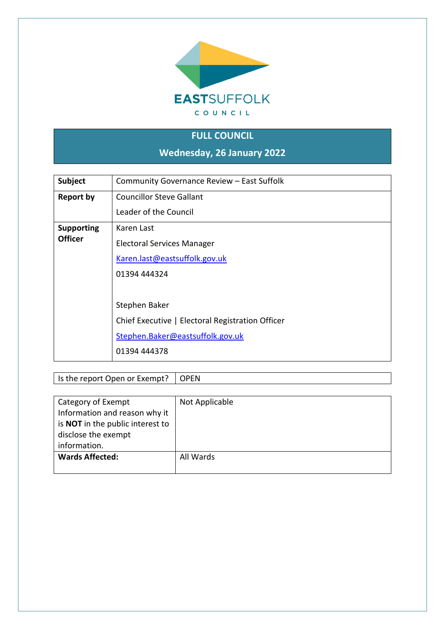

## **FULL COUNCIL**

**Wednesday, 26 January 2022**

| Subject           | Community Governance Review - East Suffolk       |  |  |  |  |  |
|-------------------|--------------------------------------------------|--|--|--|--|--|
| <b>Report by</b>  | <b>Councillor Steve Gallant</b>                  |  |  |  |  |  |
|                   | Leader of the Council                            |  |  |  |  |  |
| <b>Supporting</b> | Karen Last                                       |  |  |  |  |  |
| <b>Officer</b>    | Electoral Services Manager                       |  |  |  |  |  |
|                   | Karen.last@eastsuffolk.gov.uk                    |  |  |  |  |  |
|                   | 01394 444324                                     |  |  |  |  |  |
|                   |                                                  |  |  |  |  |  |
|                   | Stephen Baker                                    |  |  |  |  |  |
|                   | Chief Executive   Electoral Registration Officer |  |  |  |  |  |
|                   | Stephen.Baker@eastsuffolk.gov.uk                 |  |  |  |  |  |
|                   | 01394 444378                                     |  |  |  |  |  |

### Is the report Open or Exempt? | OPEN

| Category of Exempt               | Not Applicable |
|----------------------------------|----------------|
| Information and reason why it    |                |
| is NOT in the public interest to |                |
| disclose the exempt              |                |
| information.                     |                |
| <b>Wards Affected:</b>           | All Wards      |
|                                  |                |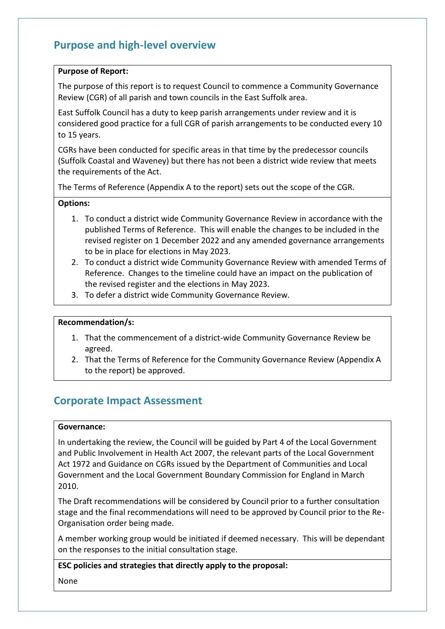## **Purpose and high-level overview**

#### **Purpose of Report:**

The purpose of this report is to request Council to commence a Community Governance Review (CGR) of all parish and town councils in the East Suffolk area.

East Suffolk Council has a duty to keep parish arrangements under review and it is considered good practice for a full CGR of parish arrangements to be conducted every 10 to 15 years.

CGRs have been conducted for specific areas in that time by the predecessor councils (Suffolk Coastal and Waveney) but there has not been a district wide review that meets the requirements of the Act.

The Terms of Reference (Appendix A to the report) sets out the scope of the CGR.

#### **Options:**

- 1. To conduct a district wide Community Governance Review in accordance with the published Terms of Reference. This will enable the changes to be included in the revised register on 1 December 2022 and any amended governance arrangements to be in place for elections in May 2023.
- 2. To conduct a district wide Community Governance Review with amended Terms of Reference. Changes to the timeline could have an impact on the publication of the revised register and the elections in May 2023.
- 3. To defer a district wide Community Governance Review.

#### **Recommendation/s:**

- 1. That the commencement of a district-wide Community Governance Review be agreed.
- 2. That the Terms of Reference for the Community Governance Review (Appendix A to the report) be approved.

### **Corporate Impact Assessment**

#### **Governance:**

In undertaking the review, the Council will be guided by Part 4 of the Local Government and Public Involvement in Health Act 2007, the relevant parts of the Local Government Act 1972 and Guidance on CGRs issued by the Department of Communities and Local Government and the Local Government Boundary Commission for England in March 2010.

The Draft recommendations will be considered by Council prior to a further consultation stage and the final recommendations will need to be approved by Council prior to the Re-Organisation order being made.

A member working group would be initiated if deemed necessary. This will be dependant on the responses to the initial consultation stage.

**ESC policies and strategies that directly apply to the proposal:**

None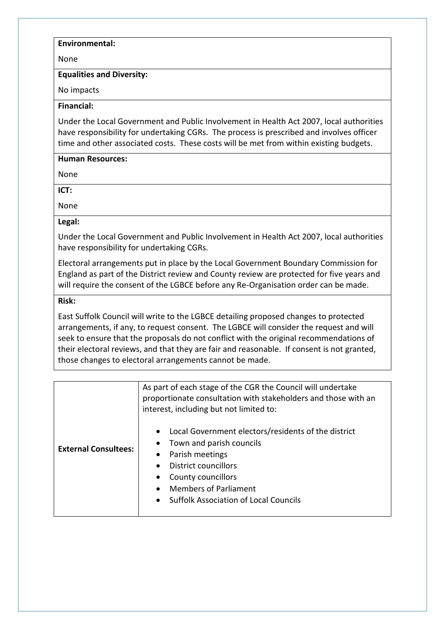#### **Environmental:**

None

#### **Equalities and Diversity:**

No impacts

#### **Financial:**

Under the Local Government and Public Involvement in Health Act 2007, local authorities have responsibility for undertaking CGRs. The process is prescribed and involves officer time and other associated costs. These costs will be met from within existing budgets.

#### **Human Resources:**

None

**ICT:**

None

**Legal:**

Under the Local Government and Public Involvement in Health Act 2007, local authorities have responsibility for undertaking CGRs.

Electoral arrangements put in place by the Local Government Boundary Commission for England as part of the District review and County review are protected for five years and will require the consent of the LGBCE before any Re-Organisation order can be made.

#### **Risk:**

East Suffolk Council will write to the LGBCE detailing proposed changes to protected arrangements, if any, to request consent. The LGBCE will consider the request and will seek to ensure that the proposals do not conflict with the original recommendations of their electoral reviews, and that they are fair and reasonable. If consent is not granted, those changes to electoral arrangements cannot be made.

|                             | As part of each stage of the CGR the Council will undertake<br>proportionate consultation with stakeholders and those with an<br>interest, including but not limited to:                                                                                                                                  |  |  |  |  |
|-----------------------------|-----------------------------------------------------------------------------------------------------------------------------------------------------------------------------------------------------------------------------------------------------------------------------------------------------------|--|--|--|--|
| <b>External Consultees:</b> | Local Government electors/residents of the district<br>$\bullet$<br>Town and parish councils<br>$\bullet$<br>Parish meetings<br>$\bullet$<br>District councillors<br>$\bullet$<br>County councillors<br>$\bullet$<br><b>Members of Parliament</b><br>$\bullet$<br>• Suffolk Association of Local Councils |  |  |  |  |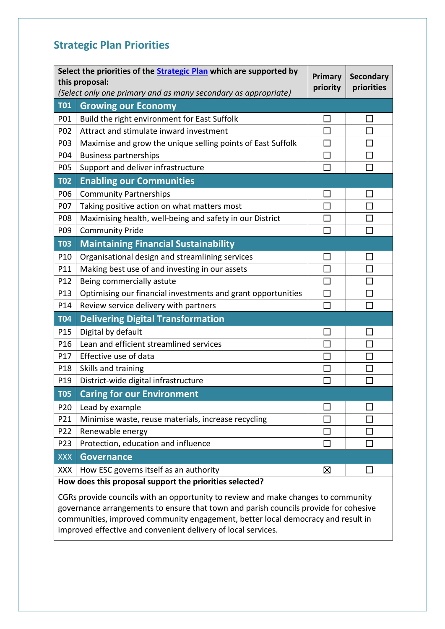## **Strategic Plan Priorities**

| Select the priorities of the <b>Strategic Plan</b> which are supported by<br>this proposal:<br>(Select only one primary and as many secondary as appropriate) |                                                              |        | <b>Secondary</b><br>priorities |  |  |
|---------------------------------------------------------------------------------------------------------------------------------------------------------------|--------------------------------------------------------------|--------|--------------------------------|--|--|
| <b>T01</b>                                                                                                                                                    | <b>Growing our Economy</b>                                   |        |                                |  |  |
| P01                                                                                                                                                           | Build the right environment for East Suffolk                 |        | $\mathbf{I}$                   |  |  |
| P02                                                                                                                                                           | Attract and stimulate inward investment                      |        |                                |  |  |
| P03                                                                                                                                                           | Maximise and grow the unique selling points of East Suffolk  | $\Box$ | $\Box$                         |  |  |
| P04                                                                                                                                                           | <b>Business partnerships</b>                                 | $\Box$ | $\Box$                         |  |  |
| P05                                                                                                                                                           | Support and deliver infrastructure                           | П      | П                              |  |  |
| <b>T02</b>                                                                                                                                                    | <b>Enabling our Communities</b>                              |        |                                |  |  |
| P06                                                                                                                                                           | <b>Community Partnerships</b>                                |        |                                |  |  |
| P07                                                                                                                                                           | Taking positive action on what matters most                  | П      | П                              |  |  |
| P08                                                                                                                                                           | Maximising health, well-being and safety in our District     |        |                                |  |  |
| P09                                                                                                                                                           | <b>Community Pride</b>                                       |        | П                              |  |  |
| <b>T03</b>                                                                                                                                                    | <b>Maintaining Financial Sustainability</b>                  |        |                                |  |  |
| P10                                                                                                                                                           | Organisational design and streamlining services              | П      | ΙI                             |  |  |
| P11                                                                                                                                                           | Making best use of and investing in our assets               | П      | П                              |  |  |
| P12                                                                                                                                                           | Being commercially astute                                    | П      |                                |  |  |
| P13                                                                                                                                                           | Optimising our financial investments and grant opportunities | $\Box$ | $\Box$                         |  |  |
| P14                                                                                                                                                           | Review service delivery with partners                        | П      |                                |  |  |
| <b>T04</b>                                                                                                                                                    | <b>Delivering Digital Transformation</b>                     |        |                                |  |  |
| P15                                                                                                                                                           | Digital by default                                           | $\Box$ | $\Box$                         |  |  |
| P16                                                                                                                                                           | Lean and efficient streamlined services                      |        |                                |  |  |
| P17                                                                                                                                                           | Effective use of data                                        |        | П                              |  |  |
| P18                                                                                                                                                           | Skills and training                                          |        |                                |  |  |
| P19                                                                                                                                                           | District-wide digital infrastructure<br>П<br>$\Box$          |        |                                |  |  |
| <b>T05</b>                                                                                                                                                    | <b>Caring for our Environment</b>                            |        |                                |  |  |
| P20                                                                                                                                                           | Lead by example                                              |        | $\sim$                         |  |  |
| P21                                                                                                                                                           | Minimise waste, reuse materials, increase recycling          |        |                                |  |  |
| P22                                                                                                                                                           | Renewable energy                                             |        |                                |  |  |
| P <sub>23</sub>                                                                                                                                               | Protection, education and influence<br>$\Box$                |        |                                |  |  |
| <b>XXX</b>                                                                                                                                                    | <b>Governance</b>                                            |        |                                |  |  |
| <b>XXX</b>                                                                                                                                                    | How ESC governs itself as an authority                       | Σ      | П                              |  |  |
| How does this proposal support the priorities selected?                                                                                                       |                                                              |        |                                |  |  |

CGRs provide councils with an opportunity to review and make changes to community governance arrangements to ensure that town and parish councils provide for cohesive communities, improved community engagement, better local democracy and result in improved effective and convenient delivery of local services.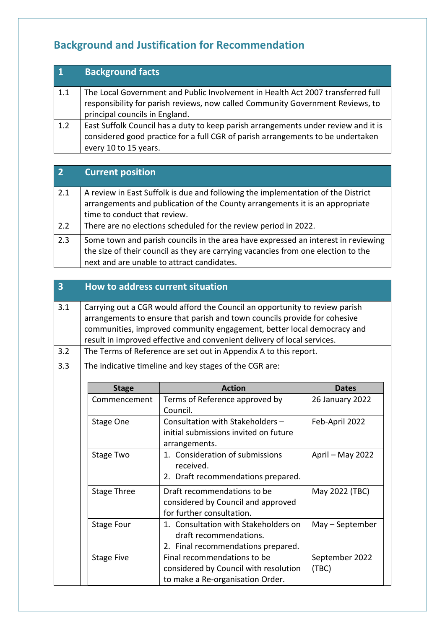# **Background and Justification for Recommendation**

| <b>Background facts</b>                                                                                                                                               |
|-----------------------------------------------------------------------------------------------------------------------------------------------------------------------|
| The Local Government and Public Involvement in Health Act 2007 transferred full<br>responsibility for parish reviews, now called Community Government Reviews, to     |
| principal councils in England.                                                                                                                                        |
| East Suffolk Council has a duty to keep parish arrangements under review and it is<br>considered good practice for a full CGR of parish arrangements to be undertaken |
| every 10 to 15 years.                                                                                                                                                 |
|                                                                                                                                                                       |

| $\overline{2}$ | <b>Current position</b>                                                                                                                                                                                              |
|----------------|----------------------------------------------------------------------------------------------------------------------------------------------------------------------------------------------------------------------|
| 2.1            | A review in East Suffolk is due and following the implementation of the District<br>arrangements and publication of the County arrangements it is an appropriate<br>time to conduct that review.                     |
| 2.2            | There are no elections scheduled for the review period in 2022.                                                                                                                                                      |
| 2.3            | Some town and parish councils in the area have expressed an interest in reviewing<br>the size of their council as they are carrying vacancies from one election to the<br>next and are unable to attract candidates. |

| 3                 | <b>How to address current situation</b>                                                                                                                                                                                                                                                                                                                                                                                                     |                                                                                                          |                         |  |  |
|-------------------|---------------------------------------------------------------------------------------------------------------------------------------------------------------------------------------------------------------------------------------------------------------------------------------------------------------------------------------------------------------------------------------------------------------------------------------------|----------------------------------------------------------------------------------------------------------|-------------------------|--|--|
| 3.1<br>3.2<br>3.3 | Carrying out a CGR would afford the Council an opportunity to review parish<br>arrangements to ensure that parish and town councils provide for cohesive<br>communities, improved community engagement, better local democracy and<br>result in improved effective and convenient delivery of local services.<br>The Terms of Reference are set out in Appendix A to this report.<br>The indicative timeline and key stages of the CGR are: |                                                                                                          |                         |  |  |
|                   | <b>Stage</b>                                                                                                                                                                                                                                                                                                                                                                                                                                | <b>Action</b>                                                                                            | <b>Dates</b>            |  |  |
|                   | Commencement                                                                                                                                                                                                                                                                                                                                                                                                                                | Terms of Reference approved by<br>Council.                                                               | 26 January 2022         |  |  |
|                   | Stage One                                                                                                                                                                                                                                                                                                                                                                                                                                   | Consultation with Stakeholders -<br>initial submissions invited on future<br>arrangements.               | Feb-April 2022          |  |  |
|                   | Stage Two                                                                                                                                                                                                                                                                                                                                                                                                                                   | 1. Consideration of submissions<br>received.<br>2. Draft recommendations prepared.                       | April - May 2022        |  |  |
|                   | <b>Stage Three</b>                                                                                                                                                                                                                                                                                                                                                                                                                          | Draft recommendations to be<br>considered by Council and approved<br>for further consultation.           | May 2022 (TBC)          |  |  |
| <b>Stage Four</b> |                                                                                                                                                                                                                                                                                                                                                                                                                                             | 1. Consultation with Stakeholders on<br>draft recommendations.<br>2. Final recommendations prepared.     | May - September         |  |  |
|                   | <b>Stage Five</b>                                                                                                                                                                                                                                                                                                                                                                                                                           | Final recommendations to be<br>considered by Council with resolution<br>to make a Re-organisation Order. | September 2022<br>(TBC) |  |  |